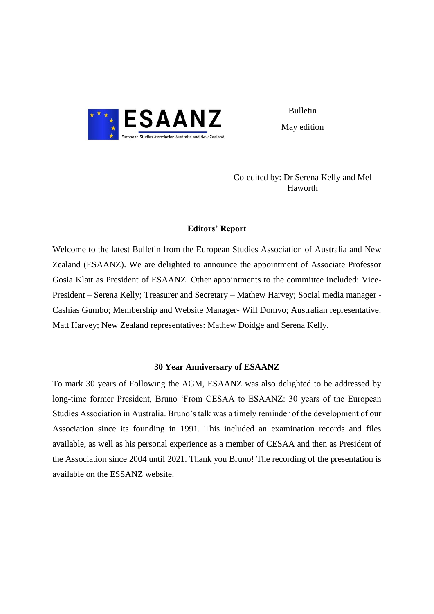

Bulletin May edition

Co-edited by: Dr Serena Kelly and Mel Haworth

# **Editors' Report**

Welcome to the latest Bulletin from the European Studies Association of Australia and New Zealand (ESAANZ). We are delighted to announce the appointment of Associate Professor Gosia Klatt as President of ESAANZ. Other appointments to the committee included: Vice-President – Serena Kelly; Treasurer and Secretary – Mathew Harvey; Social media manager - Cashias Gumbo; Membership and Website Manager- Will Domvo; Australian representative: Matt Harvey; New Zealand representatives: Mathew Doidge and Serena Kelly.

## **30 Year Anniversary of ESAANZ**

To mark 30 years of Following the AGM, ESAANZ was also delighted to be addressed by long-time former President, Bruno 'From CESAA to ESAANZ: 30 years of the European Studies Association in Australia. Bruno's talk was a timely reminder of the development of our Association since its founding in 1991. This included an examination records and files available, as well as his personal experience as a member of CESAA and then as President of the Association since 2004 until 2021. Thank you Bruno! The recording of the presentation is available on the ESSANZ website.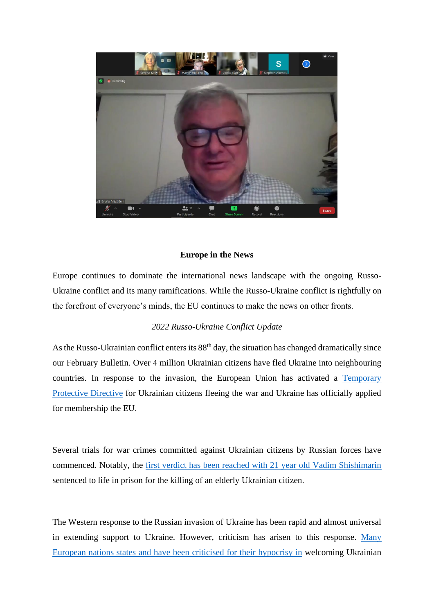

# **Europe in the News**

Europe continues to dominate the international news landscape with the ongoing Russo-Ukraine conflict and its many ramifications. While the Russo-Ukraine conflict is rightfully on the forefront of everyone's minds, the EU continues to make the news on other fronts.

# *2022 Russo-Ukraine Conflict Update*

As the Russo-Ukrainian conflict enters its  $88<sup>th</sup>$  day, the situation has changed dramatically since our February Bulletin. Over 4 million Ukrainian citizens have fled Ukraine into neighbouring countries. In response to the invasion, the European Union has activated a Temporary [Protective Directive](https://www.consilium.europa.eu/en/press/press-releases/2022/03/04/ukraine-council-introduces-temporary-protection-for-persons-fleeing-the-war/) for Ukrainian citizens fleeing the war and Ukraine has officially applied for membership the EU.

Several trials for war crimes committed against Ukrainian citizens by Russian forces have commenced. Notably, the [first verdict has been reached with 21 year old Vadim Shishimarin](https://www.theguardian.com/world/2022/may/23/ukrainian-court-sentences-russian-soldier-to-life-in-prison-for-killing-civilian-vadim-shishimarin) sentenced to life in prison for the killing of an elderly Ukrainian citizen.

The Western response to the Russian invasion of Ukraine has been rapid and almost universal in extending support to Ukraine. However, criticism has arisen to this response. [Many](https://www.aljazeera.com/news/2022/3/10/qa-why-europe-welcomed-ukrainian-refugees-but-not-syrians)  [European nations states and have been criticised for their hypocrisy in](https://www.aljazeera.com/news/2022/3/10/qa-why-europe-welcomed-ukrainian-refugees-but-not-syrians) welcoming Ukrainian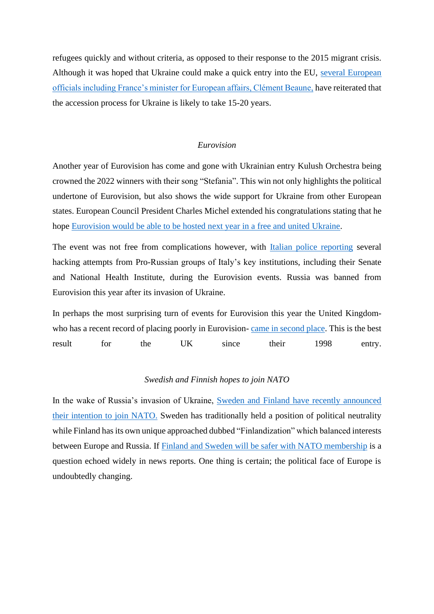refugees quickly and without criteria, as opposed to their response to the 2015 migrant crisis. Although it was hoped that Ukraine could make a quick entry into the EU, [several European](https://www.euractiv.com/section/enlargement/news/france-sees-no-eu-entry-for-ukraine-before-15-or-20-years/)  [officials including France's minister for European affairs, Clément Beaune,](https://www.euractiv.com/section/enlargement/news/france-sees-no-eu-entry-for-ukraine-before-15-or-20-years/) have reiterated that the accession process for Ukraine is likely to take 15-20 years.

# *Eurovision*

Another year of Eurovision has come and gone with Ukrainian entry Kulush Orchestra being crowned the 2022 winners with their song "Stefania". This win not only highlights the political undertone of Eurovision, but also shows the wide support for Ukraine from other European states. European Council President Charles Michel extended his congratulations stating that he hope [Eurovision would be able to be hosted next year in a free and united Ukraine.](https://www.washingtonpost.com/world/2022/05/15/eurovision-2022-ukraine-kalush-orchestra-reaction/)

The event was not free from complications however, with [Italian police reporting](https://www.rnz.co.nz/news/world/467161/pro-russian-hackers-attacked-during-eurovision-contest) several hacking attempts from Pro-Russian groups of Italy's key institutions, including their Senate and National Health Institute, during the Eurovision events. Russia was banned from Eurovision this year after its invasion of Ukraine.

In perhaps the most surprising turn of events for Eurovision this year the United Kingdomwho has a recent record of placing poorly in Eurovision-[came in second place.](https://www.theguardian.com/tv-and-radio/2022/may/15/eurovision-2022-sam-ryder-uk) This is the best result for the UK since their 1998 entry.

# *Swedish and Finnish hopes to join NATO*

In the wake of Russia's invasion of Ukraine, [Sweden and Finland have recently announced](https://www.aljazeera.com/news/2022/5/14/russia-ukraine-live-news-russia-withdrawing-from-around-kharkiv)  [their intention to join NATO.](https://www.aljazeera.com/news/2022/5/14/russia-ukraine-live-news-russia-withdrawing-from-around-kharkiv) Sweden has traditionally held a position of political neutrality while Finland has its own unique approached dubbed "Finlandization" which balanced interests between Europe and Russia. If [Finland and Sweden will be safer with NATO membership](https://www.theguardian.com/commentisfree/2022/may/18/finland-sweden-nato-russia-vladimir-putin-ukraine) is a question echoed widely in news reports. One thing is certain; the political face of Europe is undoubtedly changing.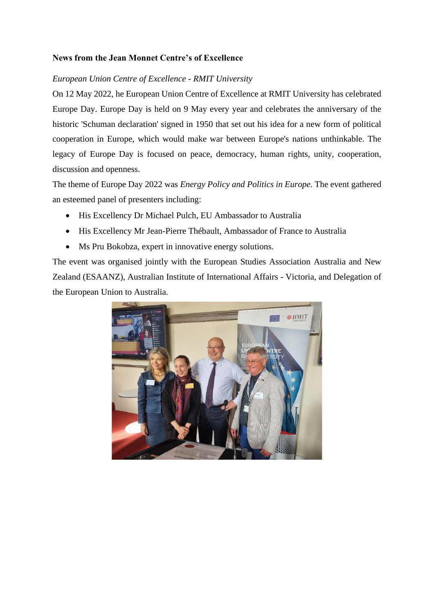# **News from the Jean Monnet Centre's of Excellence**

# *European Union Centre of Excellence - RMIT University*

On 12 May 2022, he European Union Centre of Excellence at RMIT University has celebrated Europe Day. Europe Day is held on 9 May every year and celebrates the anniversary of the historic 'Schuman declaration' signed in 1950 that set out his idea for a new form of political cooperation in Europe, which would make war between Europe's nations unthinkable. The legacy of Europe Day is focused on peace, democracy, human rights, unity, cooperation, discussion and openness.

The theme of Europe Day 2022 was *Energy Policy and Politics in Europe.* The event gathered an esteemed panel of presenters including:

- His Excellency Dr Michael Pulch, EU Ambassador to Australia
- His Excellency Mr Jean-Pierre Thébault, Ambassador of France to Australia
- Ms Pru Bokobza, expert in innovative energy solutions.

The event was organised jointly with the European Studies Association Australia and New Zealand (ESAANZ), Australian Institute of International Affairs - Victoria, and Delegation of the European Union to Australia.

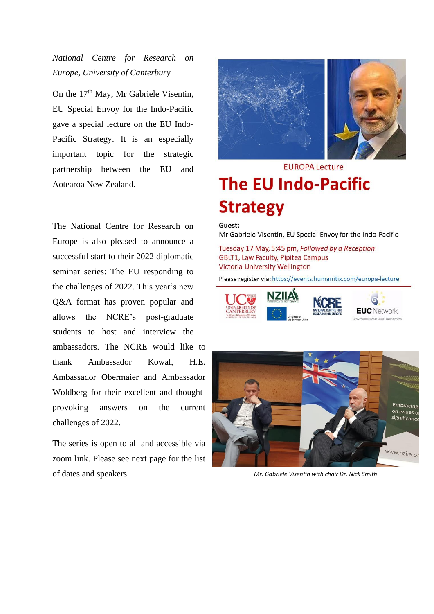*National Centre for Research on Europe, University of Canterbury*

On the 17<sup>th</sup> May, Mr Gabriele Visentin, EU Special Envoy for the Indo-Pacific gave a special lecture on the EU Indo-Pacific Strategy. It is an especially important topic for the strategic partnership between the EU and Aotearoa New Zealand.

The National Centre for Research on Europe is also pleased to announce a successful start to their 2022 diplomatic seminar series: The EU responding to the challenges of 2022. This year's new Q&A format has proven popular and allows the NCRE's post-graduate students to host and interview the ambassadors. The NCRE would like to thank Ambassador Kowal, H.E. Ambassador Obermaier and Ambassador Woldberg for their excellent and thoughtprovoking answers on the current challenges of 2022.

The series is open to all and accessible via zoom link. Please see next page for the list of dates and speakers. *Mr. Gabriele Visentin with chair Dr. Nick Smith*



# **EUROPA Lecture The EU Indo-Pacific Strategy**

#### Guest:

Mr Gabriele Visentin, EU Special Envoy for the Indo-Pacific

Tuesday 17 May, 5:45 pm, Followed by a Reception GBLT1, Law Faculty, Pipitea Campus **Victoria University Wellington** 

Please register via: https://events.humanitix.com/europa-lecture







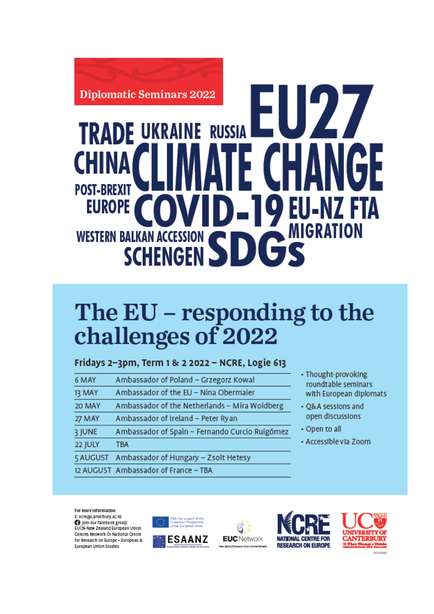

# **RAINE RUSSIA** TRAD **POST-BREXIT EUROPE MIGRATION WESTERN BALKAN ACCESSION SCHENGEN**

# The EU - responding to the challenges of 2022

Fridays 2-3pm, Term 1 & 2 2022 - NCRE, Logie 613

| 6 MAY   | Ambassador of Poland - Grzegorz Kowal          |
|---------|------------------------------------------------|
| 13 MAY  | Ambassador of the EU - Nina Obermaier          |
| 20 MAY  | Ambassador of the Netherlands - Mira Woldberg  |
| 27 MAY  | Ambassador of Ireland - Peter Ryan             |
| 3 JUNE  | Ambassador of Spain - Fernando Curcio Ruigómez |
| 22 JULY | <b>TBA</b>                                     |
|         | 5 AUGUST Ambassador of Hungary - Zsolt Hetesy  |
|         | 12 AUGUST Ambassador of France - TBA           |
|         |                                                |

- Thought-provoking roundtable seminars with European diplomats
- Q&A sessions and open discussions
- Open to all
- Accessible via Zoom

For more information E: ncre@canterbury.ac.nz

Join our facebook group: EUCN-New Zealand European Union Centres Network Or National Centre for Research on Europe - European & European Union Studies







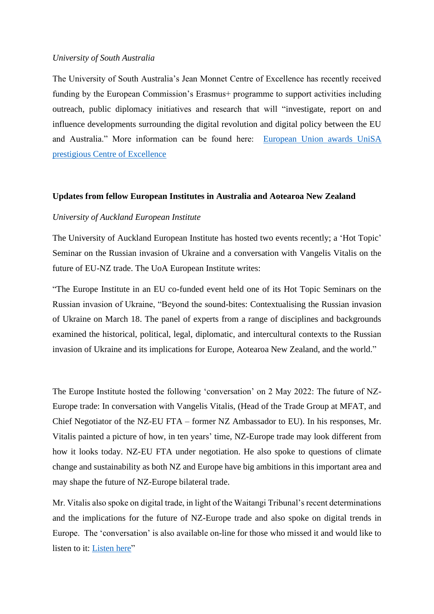# *University of South Australia*

The University of South Australia's Jean Monnet Centre of Excellence has recently received funding by the European Commission's Erasmus+ programme to support activities including outreach, public diplomacy initiatives and research that will "investigate, report on and influence developments surrounding the digital revolution and digital policy between the EU and Australia." More information can be found here: [European Union awards UniSA](https://unisa.edu.au/media-centre/Releases/2022/european-union-awards-unisa-prestigious-centre-of-excellence/)  [prestigious Centre of Excellence](https://unisa.edu.au/media-centre/Releases/2022/european-union-awards-unisa-prestigious-centre-of-excellence/)

#### **Updates from fellow European Institutes in Australia and Aotearoa New Zealand**

### *University of Auckland European Institute*

The University of Auckland European Institute has hosted two events recently; a 'Hot Topic' Seminar on the Russian invasion of Ukraine and a conversation with Vangelis Vitalis on the future of EU-NZ trade. The UoA European Institute writes:

"The Europe Institute in an EU co-funded event held one of its Hot Topic Seminars on the Russian invasion of Ukraine, "Beyond the sound-bites: Contextualising the Russian invasion of Ukraine on March 18. The panel of experts from a range of disciplines and backgrounds examined the historical, political, legal, diplomatic, and intercultural contexts to the Russian invasion of Ukraine and its implications for Europe, Aotearoa New Zealand, and the world."

The Europe Institute hosted the following 'conversation' on 2 May 2022: The future of NZ-Europe trade: In conversation with Vangelis Vitalis, (Head of the Trade Group at MFAT, and Chief Negotiator of the NZ-EU FTA – former NZ Ambassador to EU). In his responses, Mr. Vitalis painted a picture of how, in ten years' time, NZ-Europe trade may look different from how it looks today. NZ-EU FTA under negotiation. He also spoke to questions of climate change and sustainability as both NZ and Europe have big ambitions in this important area and may shape the future of NZ-Europe bilateral trade.

Mr. Vitalis also spoke on digital trade, in light of the Waitangi Tribunal's recent determinations and the implications for the future of NZ-Europe trade and also spoke on digital trends in Europe. The 'conversation' is also available on-line for those who missed it and would like to listen to it: [Listen here"](https://auckland.au.panopto.com/Panopto/Pages/Viewer.aspx?id=73545db8-81c6-43ed-9566-ae8b001159bb)